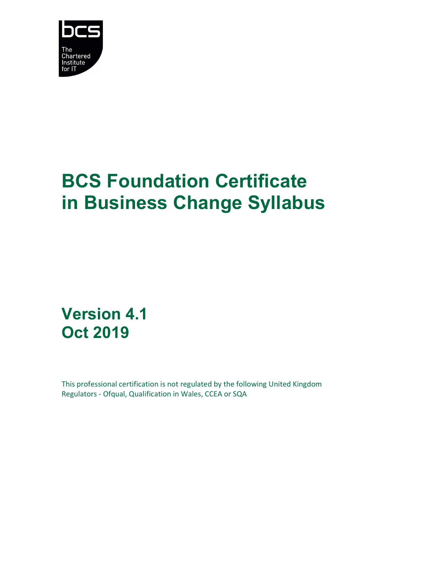

# BCS Foundation Certificate in Business Change Syllabus

Version 4.1 Oct 2019

This professional certification is not regulated by the following United Kingdom Regulators - Ofqual, Qualification in Wales, CCEA or SQA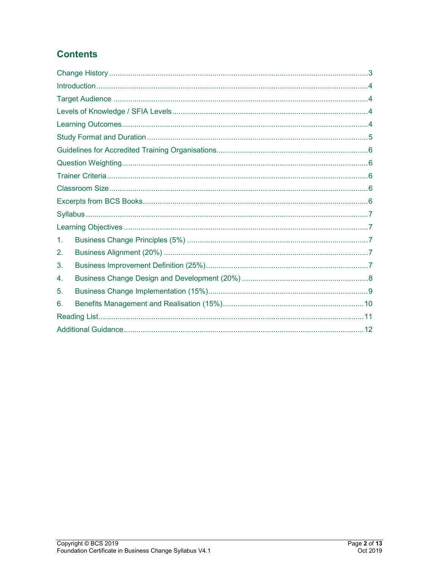### **Contents**

| 1. |  |  |  |
|----|--|--|--|
| 2. |  |  |  |
| 3. |  |  |  |
| 4. |  |  |  |
| 5. |  |  |  |
| 6. |  |  |  |
|    |  |  |  |
|    |  |  |  |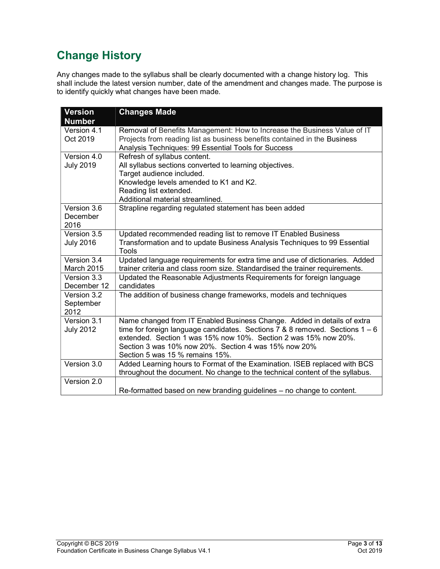# Change History

Any changes made to the syllabus shall be clearly documented with a change history log. This shall include the latest version number, date of the amendment and changes made. The purpose is to identify quickly what changes have been made.

| <b>Version</b><br><b>Number</b>  | <b>Changes Made</b>                                                                                                                                                                                                                                                                                                     |
|----------------------------------|-------------------------------------------------------------------------------------------------------------------------------------------------------------------------------------------------------------------------------------------------------------------------------------------------------------------------|
| Version 4.1<br>Oct 2019          | Removal of Benefits Management: How to Increase the Business Value of IT<br>Projects from reading list as business benefits contained in the Business<br>Analysis Techniques: 99 Essential Tools for Success                                                                                                            |
| Version 4.0<br><b>July 2019</b>  | Refresh of syllabus content.<br>All syllabus sections converted to learning objectives.<br>Target audience included.<br>Knowledge levels amended to K1 and K2.<br>Reading list extended.<br>Additional material streamlined.                                                                                            |
| Version 3.6<br>December<br>2016  | Strapline regarding regulated statement has been added                                                                                                                                                                                                                                                                  |
| Version 3.5<br><b>July 2016</b>  | Updated recommended reading list to remove IT Enabled Business<br>Transformation and to update Business Analysis Techniques to 99 Essential<br>Tools                                                                                                                                                                    |
| Version 3.4<br><b>March 2015</b> | Updated language requirements for extra time and use of dictionaries. Added<br>trainer criteria and class room size. Standardised the trainer requirements.                                                                                                                                                             |
| Version 3.3<br>December 12       | Updated the Reasonable Adjustments Requirements for foreign language<br>candidates                                                                                                                                                                                                                                      |
| Version 3.2<br>September<br>2012 | The addition of business change frameworks, models and techniques                                                                                                                                                                                                                                                       |
| Version 3.1<br><b>July 2012</b>  | Name changed from IT Enabled Business Change. Added in details of extra<br>time for foreign language candidates. Sections 7 & 8 removed. Sections $1 - 6$<br>extended. Section 1 was 15% now 10%. Section 2 was 15% now 20%.<br>Section 3 was 10% now 20%. Section 4 was 15% now 20%<br>Section 5 was 15 % remains 15%. |
| Version 3.0                      | Added Learning hours to Format of the Examination. ISEB replaced with BCS<br>throughout the document. No change to the technical content of the syllabus.                                                                                                                                                               |
| Version 2.0                      | Re-formatted based on new branding guidelines - no change to content.                                                                                                                                                                                                                                                   |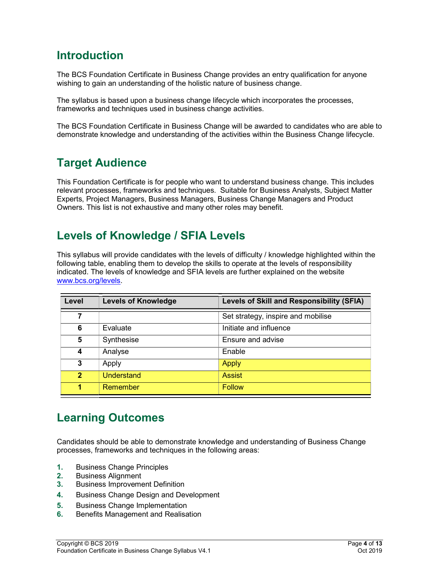### Introduction

The BCS Foundation Certificate in Business Change provides an entry qualification for anyone wishing to gain an understanding of the holistic nature of business change.

The syllabus is based upon a business change lifecycle which incorporates the processes, frameworks and techniques used in business change activities.

The BCS Foundation Certificate in Business Change will be awarded to candidates who are able to demonstrate knowledge and understanding of the activities within the Business Change lifecycle.

### Target Audience

This Foundation Certificate is for people who want to understand business change. This includes relevant processes, frameworks and techniques. Suitable for Business Analysts, Subject Matter Experts, Project Managers, Business Managers, Business Change Managers and Product Owners. This list is not exhaustive and many other roles may benefit.

# Levels of Knowledge / SFIA Levels

This syllabus will provide candidates with the levels of difficulty / knowledge highlighted within the following table, enabling them to develop the skills to operate at the levels of responsibility indicated. The levels of knowledge and SFIA levels are further explained on the website www.bcs.org/levels.

| Level          | <b>Levels of Knowledge</b> | Levels of Skill and Responsibility (SFIA) |
|----------------|----------------------------|-------------------------------------------|
| 7              |                            | Set strategy, inspire and mobilise        |
| 6              | Evaluate                   | Initiate and influence                    |
| 5              | Synthesise                 | Ensure and advise                         |
| 4              | Analyse                    | Enable                                    |
| 3              | Apply                      | <b>Apply</b>                              |
| $\overline{2}$ | Understand                 | <b>Assist</b>                             |
| 1              | Remember                   | <b>Follow</b>                             |

# Learning Outcomes

Candidates should be able to demonstrate knowledge and understanding of Business Change processes, frameworks and techniques in the following areas:

- 1. Business Change Principles
- 2. Business Alignment
- 3. Business Improvement Definition
- 4. Business Change Design and Development
- 5. Business Change Implementation
- 6. Benefits Management and Realisation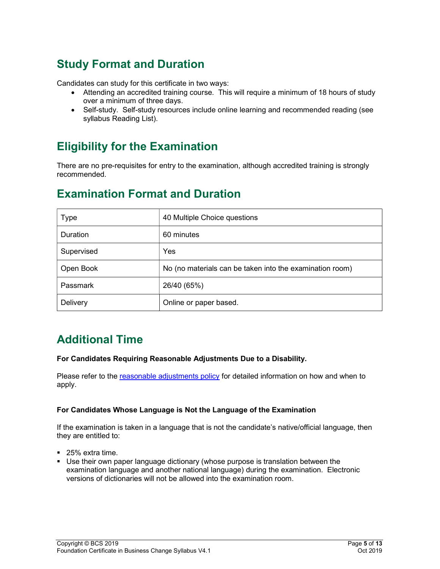# Study Format and Duration

Candidates can study for this certificate in two ways:

- Attending an accredited training course. This will require a minimum of 18 hours of study over a minimum of three days.
- Self-study. Self-study resources include online learning and recommended reading (see syllabus Reading List).

### Eligibility for the Examination

There are no pre-requisites for entry to the examination, although accredited training is strongly recommended.

### Examination Format and Duration

| <b>Type</b> | 40 Multiple Choice questions                             |
|-------------|----------------------------------------------------------|
| Duration    | 60 minutes                                               |
| Supervised  | Yes                                                      |
| Open Book   | No (no materials can be taken into the examination room) |
| Passmark    | 26/40 (65%)                                              |
| Delivery    | Online or paper based.                                   |

### Additional Time

#### For Candidates Requiring Reasonable Adjustments Due to a Disability.

Please refer to the reasonable adjustments policy for detailed information on how and when to apply.

#### For Candidates Whose Language is Not the Language of the Examination

If the examination is taken in a language that is not the candidate's native/official language, then they are entitled to:

- 25% extra time.
- Use their own paper language dictionary (whose purpose is translation between the examination language and another national language) during the examination. Electronic versions of dictionaries will not be allowed into the examination room.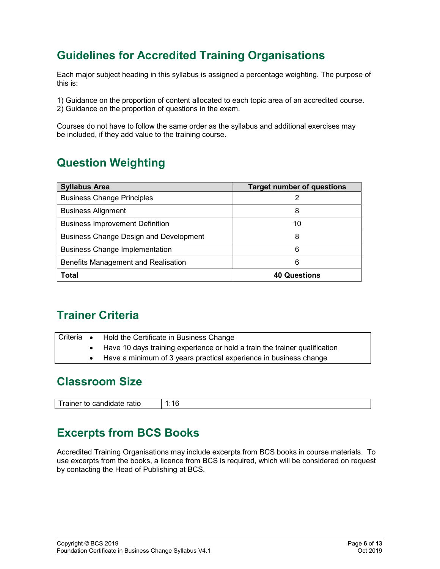# Guidelines for Accredited Training Organisations

Each major subject heading in this syllabus is assigned a percentage weighting. The purpose of this is:

1) Guidance on the proportion of content allocated to each topic area of an accredited course.

2) Guidance on the proportion of questions in the exam.

Courses do not have to follow the same order as the syllabus and additional exercises may be included, if they add value to the training course.

# Question Weighting

| <b>Syllabus Area</b>                          | <b>Target number of questions</b> |
|-----------------------------------------------|-----------------------------------|
| <b>Business Change Principles</b>             |                                   |
| <b>Business Alignment</b>                     | 8                                 |
| <b>Business Improvement Definition</b>        | 10                                |
| <b>Business Change Design and Development</b> | 8                                 |
| <b>Business Change Implementation</b>         | 6                                 |
| Benefits Management and Realisation           | 6                                 |
| <b>Total</b>                                  | <b>40 Questions</b>               |

### Trainer Criteria

| Criteria   • | Hold the Certificate in Business Change                                    |
|--------------|----------------------------------------------------------------------------|
|              | Have 10 days training experience or hold a train the trainer qualification |
|              | Have a minimum of 3 years practical experience in business change          |

### Classroom Size

| <b>Trainar</b><br>.<br>rainer to<br>cano<br>шоэ<br>'U I dill | . .<br>ı |
|--------------------------------------------------------------|----------|
|                                                              |          |

### Excerpts from BCS Books

Accredited Training Organisations may include excerpts from BCS books in course materials. To use excerpts from the books, a licence from BCS is required, which will be considered on request by contacting the Head of Publishing at BCS.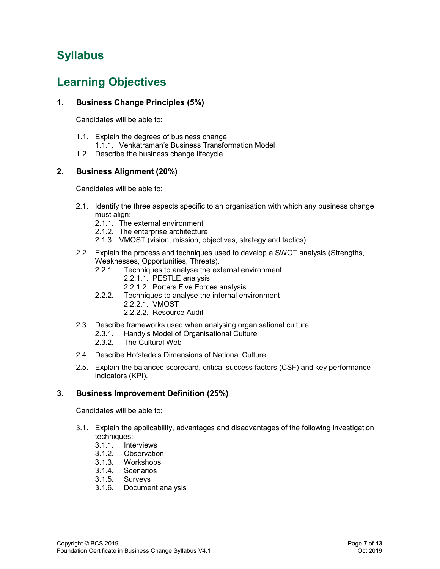# Syllabus

### Learning Objectives

### 1. Business Change Principles (5%)

Candidates will be able to:

- 1.1. Explain the degrees of business change
	- 1.1.1. Venkatraman's Business Transformation Model
- 1.2. Describe the business change lifecycle

### 2. Business Alignment (20%)

Candidates will be able to:

- 2.1. Identify the three aspects specific to an organisation with which any business change must align:
	- 2.1.1. The external environment
	- 2.1.2. The enterprise architecture
	- 2.1.3. VMOST (vision, mission, objectives, strategy and tactics)
- 2.2. Explain the process and techniques used to develop a SWOT analysis (Strengths, Weaknesses, Opportunities, Threats).
	- 2.2.1. Techniques to analyse the external environment
		- 2.2.1.1. PESTLE analysis
			- 2.2.1.2. Porters Five Forces analysis
	- 2.2.2. Techniques to analyse the internal environment
		- 2.2.2.1. VMOST
		- 2.2.2.2. Resource Audit
- 2.3. Describe frameworks used when analysing organisational culture
	- 2.3.1. Handy's Model of Organisational Culture
	- 2.3.2. The Cultural Web
- 2.4. Describe Hofstede's Dimensions of National Culture
- 2.5. Explain the balanced scorecard, critical success factors (CSF) and key performance indicators (KPI).

### 3. Business Improvement Definition (25%)

- 3.1. Explain the applicability, advantages and disadvantages of the following investigation techniques:
	- 3.1.1. Interviews
	- 3.1.2. Observation
	- 3.1.3. Workshops
	- 3.1.4. Scenarios
	- 3.1.5. Surveys
	- 3.1.6. Document analysis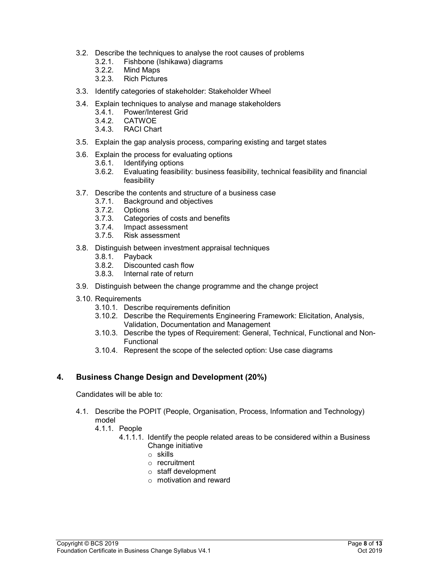- 3.2. Describe the techniques to analyse the root causes of problems
	- 3.2.1. Fishbone (Ishikawa) diagrams
	- 3.2.2. Mind Maps
	- 3.2.3. Rich Pictures
- 3.3. Identify categories of stakeholder: Stakeholder Wheel
- 3.4. Explain techniques to analyse and manage stakeholders
	- 3.4.1. Power/Interest Grid
	- 3.4.2. CATWOE
	- 3.4.3. RACI Chart
- 3.5. Explain the gap analysis process, comparing existing and target states
- 3.6. Explain the process for evaluating options
	- 3.6.1. Identifying options
	- 3.6.2. Evaluating feasibility: business feasibility, technical feasibility and financial feasibility
- 3.7. Describe the contents and structure of a business case
	- 3.7.1. Background and objectives
	- 3.7.2. Options
	- 3.7.3. Categories of costs and benefits
	- 3.7.4. Impact assessment
	- 3.7.5. Risk assessment
- 3.8. Distinguish between investment appraisal techniques
	- 3.8.1. Payback
	- 3.8.2. Discounted cash flow
	- 3.8.3. Internal rate of return
- 3.9. Distinguish between the change programme and the change project
- 3.10. Requirements
	- 3.10.1. Describe requirements definition
	- 3.10.2. Describe the Requirements Engineering Framework: Elicitation, Analysis, Validation, Documentation and Management
	- 3.10.3. Describe the types of Requirement: General, Technical, Functional and Non-**Functional**
	- 3.10.4. Represent the scope of the selected option: Use case diagrams

### 4. Business Change Design and Development (20%)

- 4.1. Describe the POPIT (People, Organisation, Process, Information and Technology) model
	- 4.1.1. People
		- 4.1.1.1. Identify the people related areas to be considered within a Business Change initiative
			- o skills
			- o recruitment
			- $\circ$  staff development
			- $\circ$  motivation and reward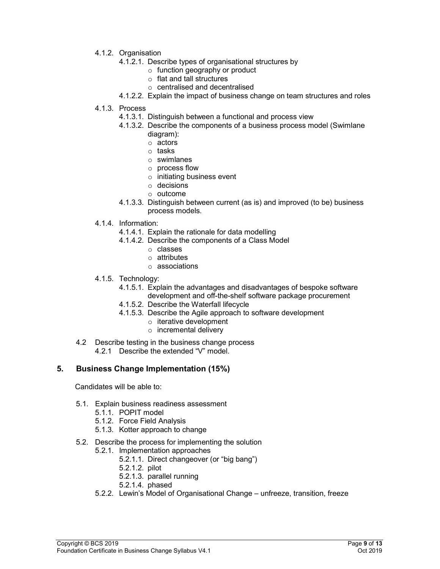- 4.1.2. Organisation
	- 4.1.2.1. Describe types of organisational structures by
		- o function geography or product
		- o flat and tall structures
		- o centralised and decentralised
	- 4.1.2.2. Explain the impact of business change on team structures and roles
- 4.1.3. Process
	- 4.1.3.1. Distinguish between a functional and process view
	- 4.1.3.2. Describe the components of a business process model (Swimlane diagram):
		- o actors
		- o tasks
		- o swimlanes
		- o process flow
		- o initiating business event
		- o decisions
		- o outcome
	- 4.1.3.3. Distinguish between current (as is) and improved (to be) business process models.
- 4.1.4. Information:
	- 4.1.4.1. Explain the rationale for data modelling
	- 4.1.4.2. Describe the components of a Class Model
		- o classes
		- o attributes
		- o associations
- 4.1.5. Technology:
	- 4.1.5.1. Explain the advantages and disadvantages of bespoke software
	- development and off-the-shelf software package procurement
	- 4.1.5.2. Describe the Waterfall lifecycle
	- 4.1.5.3. Describe the Agile approach to software development
		- o iterative development
		- o incremental delivery
- 4.2 Describe testing in the business change process 4.2.1 Describe the extended "V" model.

#### 5. Business Change Implementation (15%)

- 5.1. Explain business readiness assessment
	- 5.1.1. POPIT model
	- 5.1.2. Force Field Analysis
	- 5.1.3. Kotter approach to change
- 5.2. Describe the process for implementing the solution
	- 5.2.1. Implementation approaches
		- 5.2.1.1. Direct changeover (or "big bang")
		- 5.2.1.2. pilot
		- 5.2.1.3. parallel running
		- 5.2.1.4. phased
	- 5.2.2. Lewin's Model of Organisational Change unfreeze, transition, freeze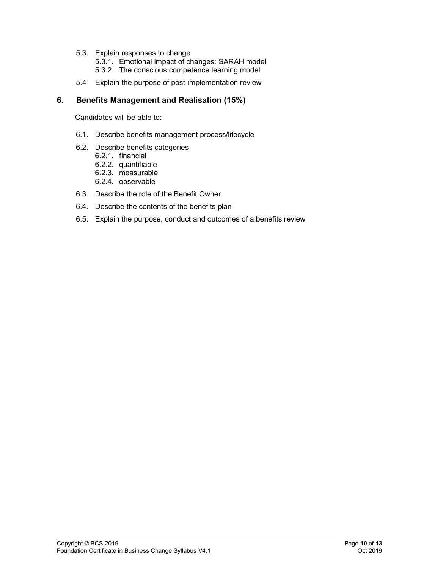- 5.3. Explain responses to change
	- 5.3.1. Emotional impact of changes: SARAH model
	- 5.3.2. The conscious competence learning model
- 5.4 Explain the purpose of post-implementation review

### 6. Benefits Management and Realisation (15%)

- 6.1. Describe benefits management process/lifecycle
- 6.2. Describe benefits categories
	- 6.2.1. financial
	- 6.2.2. quantifiable
	- 6.2.3. measurable
	- 6.2.4. observable
- 6.3. Describe the role of the Benefit Owner
- 6.4. Describe the contents of the benefits plan
- 6.5. Explain the purpose, conduct and outcomes of a benefits review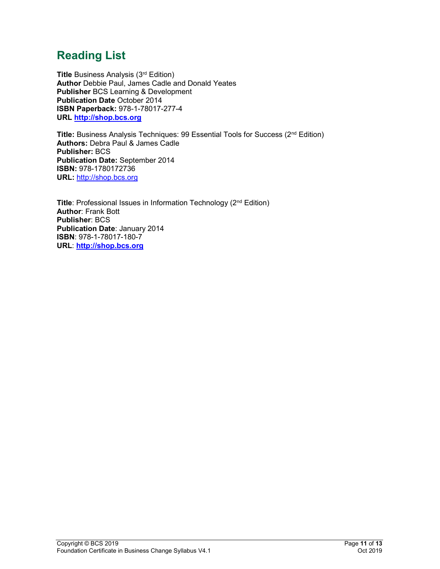# Reading List

Title Business Analysis (3<sup>rd</sup> Edition) Author Debbie Paul, James Cadle and Donald Yeates Publisher BCS Learning & Development Publication Date October 2014 ISBN Paperback: 978-1-78017-277-4 URL http://shop.bcs.org

Title: Business Analysis Techniques: 99 Essential Tools for Success (2<sup>nd</sup> Edition) Authors: Debra Paul & James Cadle Publisher: BCS Publication Date: September 2014 ISBN: 978-1780172736 URL: http://shop.bcs.org

Title: Professional Issues in Information Technology (2<sup>nd</sup> Edition) Author: Frank Bott Publisher: BCS Publication Date: January 2014 ISBN: 978-1-78017-180-7 URL: http://shop.bcs.org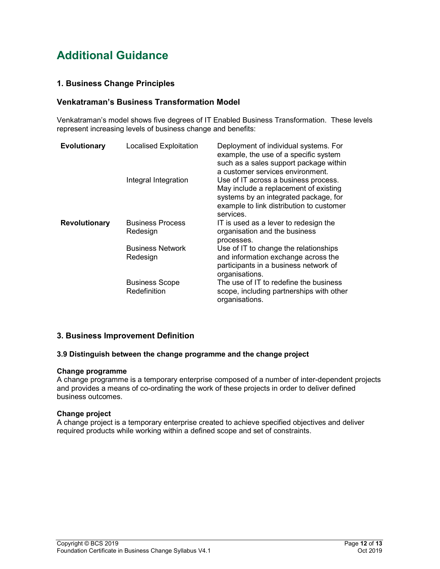# Additional Guidance

### 1. Business Change Principles

### Venkatraman's Business Transformation Model

Venkatraman's model shows five degrees of IT Enabled Business Transformation. These levels represent increasing levels of business change and benefits:

| <b>Evolutionary</b>  | <b>Localised Exploitation</b>         | Deployment of individual systems. For<br>example, the use of a specific system<br>such as a sales support package within<br>a customer services environment.                    |
|----------------------|---------------------------------------|---------------------------------------------------------------------------------------------------------------------------------------------------------------------------------|
|                      | Integral Integration                  | Use of IT across a business process.<br>May include a replacement of existing<br>systems by an integrated package, for<br>example to link distribution to customer<br>services. |
| <b>Revolutionary</b> | <b>Business Process</b><br>Redesign   | IT is used as a lever to redesign the<br>organisation and the business<br>processes.                                                                                            |
|                      | <b>Business Network</b><br>Redesign   | Use of IT to change the relationships<br>and information exchange across the<br>participants in a business network of<br>organisations.                                         |
|                      | <b>Business Scope</b><br>Redefinition | The use of IT to redefine the business<br>scope, including partnerships with other<br>organisations.                                                                            |

### 3. Business Improvement Definition

#### 3.9 Distinguish between the change programme and the change project

#### Change programme

A change programme is a temporary enterprise composed of a number of inter-dependent projects and provides a means of co-ordinating the work of these projects in order to deliver defined business outcomes.

#### Change project

A change project is a temporary enterprise created to achieve specified objectives and deliver required products while working within a defined scope and set of constraints.